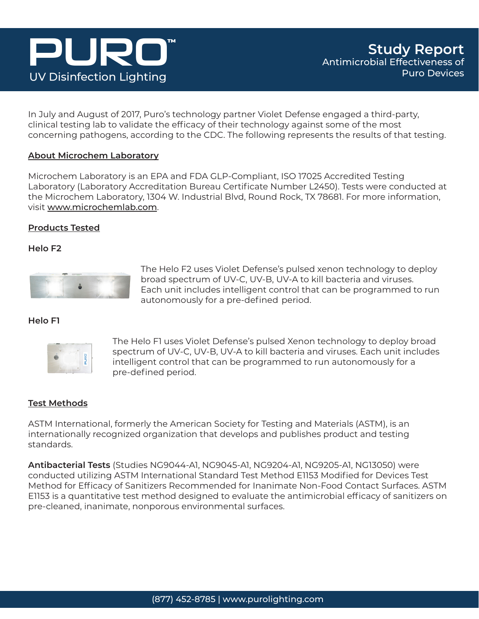## PURI **UV Disinfection Lighting**

In July and August of 2017, Puro's technology partner Violet Defense engaged a third-party, clinical testing lab to validate the efficacy of their technology against some of the most concerning pathogens, according to the CDC. The following represents the results of that testing.

#### **About Microchem Laboratory**

Microchem Laboratory is an EPA and FDA GLP-Compliant, ISO 17025 Accredited Testing Laboratory (Laboratory Accreditation Bureau Certificate Number L2450). Tests were conducted at the Microchem Laboratory, 1304 W. Industrial Blvd, Round Rock, TX 78681. For more information, visit www.microchemlab.com.

#### **Products Tested**

#### **Helo F2**



The Helo F2 uses Violet Defense's pulsed xenon technology to deploy broad spectrum of UV-C, UV-B, UV-A to kill bacteria and viruses. Each unit includes intelligent control that can be programmed to run autonomously for a pre-defined period.

**Helo F1**



The Helo F1 uses Violet Defense's pulsed Xenon technology to deploy broad spectrum of UV-C, UV-B, UV-A to kill bacteria and viruses. Each unit includes intelligent control that can be programmed to run autonomously for a pre-defined period.

#### **Test Methods**

ASTM International, formerly the American Society for Testing and Materials (ASTM), is an internationally recognized organization that develops and publishes product and testing standards.

**Antibacterial Tests** (Studies NG9044-A1, NG9045-A1, NG9204-A1, NG9205-A1, NG13050) were conducted utilizing ASTM International Standard Test Method E1153 Modified for Devices Test Method for Efficacy of Sanitizers Recommended for Inanimate Non-Food Contact Surfaces. ASTM E1153 is a quantitative test method designed to evaluate the antimicrobial efficacy of sanitizers on pre-cleaned, inanimate, nonporous environmental surfaces.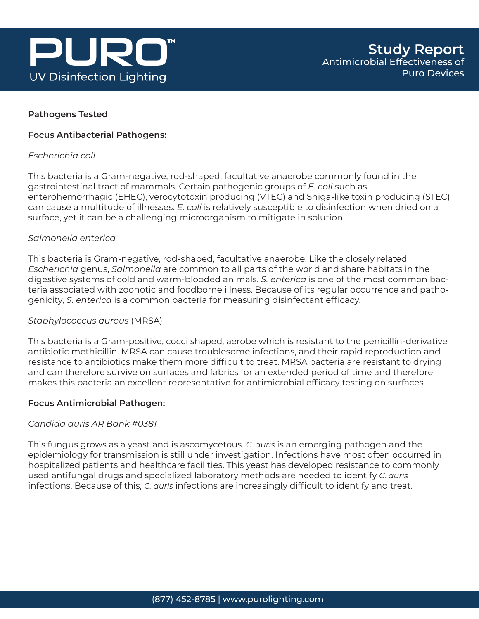

#### **Pathogens Tested**

#### **Focus Antibacterial Pathogens:**

#### *Escherichia coli*

This bacteria is a Gram-negative, rod-shaped, facultative anaerobe commonly found in the gastrointestinal tract of mammals. Certain pathogenic groups of *E. coli* such as enterohemorrhagic (EHEC), verocytotoxin producing (VTEC) and Shiga-like toxin producing (STEC) can cause a multitude of illnesses. *E. coli* is relatively susceptible to disinfection when dried on a surface, yet it can be a challenging microorganism to mitigate in solution.

#### *Salmonella enterica*

This bacteria is Gram-negative, rod-shaped, facultative anaerobe. Like the closely related *Escherichia* genus, *Salmonella* are common to all parts of the world and share habitats in the digestive systems of cold and warm-blooded animals. *S. enterica* is one of the most common bacteria associated with zoonotic and foodborne illness. Because of its regular occurrence and pathogenicity, *S. enterica* is a common bacteria for measuring disinfectant efficacy.

#### *Staphylococcus aureus* (MRSA)

This bacteria is a Gram-positive, cocci shaped, aerobe which is resistant to the penicillin-derivative antibiotic methicillin. MRSA can cause troublesome infections, and their rapid reproduction and resistance to antibiotics make them more difficult to treat. MRSA bacteria are resistant to drying and can therefore survive on surfaces and fabrics for an extended period of time and therefore makes this bacteria an excellent representative for antimicrobial efficacy testing on surfaces.

#### **Focus Antimicrobial Pathogen:**

#### *Candida auris AR Bank #0381*

This fungus grows as a yeast and is ascomycetous. *C. auris* is an emerging pathogen and the epidemiology for transmission is still under investigation. Infections have most often occurred in hospitalized patients and healthcare facilities. This yeast has developed resistance to commonly used antifungal drugs and specialized laboratory methods are needed to identify *C. auris* infections. Because of this, *C. auris* infections are increasingly difficult to identify and treat.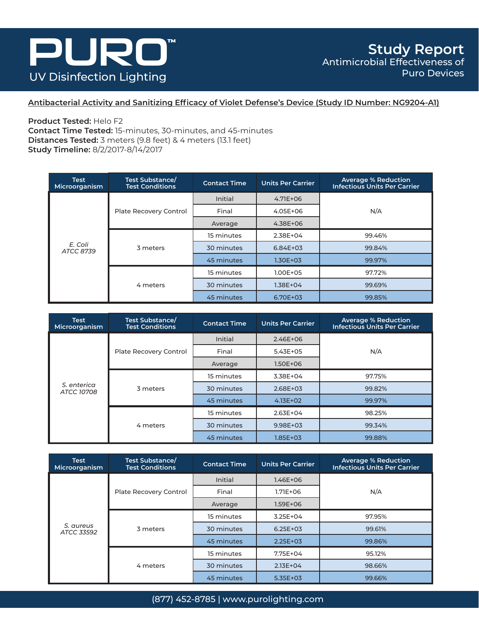### PURD  $\begin{bmatrix} 1 \\ 1 \\ 2 \end{bmatrix}^{\text{TM}}$ **UV Disinfection Lighting**

**Antibacterial Activity and Sanitizing Efficacy of Violet Defense's Device (Study ID Number: NG9204-A1)**

**Product Tested:** Helo F2

**Contact Time Tested:** 15-minutes, 30-minutes, and 45-minutes **Distances Tested:** 3 meters (9.8 feet) & 4 meters (13.1 feet) **Study Timeline:** 8/2/2017-8/14/2017

| Test<br>Microorganism       | Test Substance/<br><b>Test Conditions</b>                        | <b>Contact Time</b> | <b>Units Per Carrier</b> | <b>Average % Reduction</b><br><b>Infectious Units Per Carrier</b> |
|-----------------------------|------------------------------------------------------------------|---------------------|--------------------------|-------------------------------------------------------------------|
| E. Coli<br><b>ATCC 8739</b> |                                                                  | Initial             | $4.71E + 06$             |                                                                   |
|                             | Plate Recovery Control                                           | Final               | 4.05E+06                 | N/A<br>99.46%                                                     |
|                             |                                                                  | Average             | 4.38E+06                 |                                                                   |
|                             | 15 minutes<br>2.38E+04<br>30 minutes<br>3 meters<br>$6.84E + 03$ |                     |                          |                                                                   |
|                             |                                                                  |                     | 99.84%                   |                                                                   |
|                             |                                                                  | 45 minutes          | $1.30E + 03$             | 99.97%                                                            |
|                             |                                                                  | 15 minutes          | $1.00E + 0.5$            | 97.72%                                                            |
|                             | 4 meters                                                         | 30 minutes          | $1.38E + 04$             | 99.69%                                                            |
|                             |                                                                  | 45 minutes          | 6.70E+03                 | 99.85%                                                            |

| Test<br>Microorganism            | Test Substance/<br><b>Test Conditions</b> | <b>Contact Time</b> | <b>Units Per Carrier</b> | <b>Average % Reduction</b><br><b>Infectious Units Per Carrier</b> |
|----------------------------------|-------------------------------------------|---------------------|--------------------------|-------------------------------------------------------------------|
| S. enterica<br><b>ATCC 10708</b> |                                           | Initial             | $2.46E + 06$             |                                                                   |
|                                  | Plate Recovery Control                    | Final               | $5.43E + 05$             | N/A                                                               |
|                                  |                                           | Average             | $1.50E + 06$             |                                                                   |
|                                  | 3 meters                                  | 15 minutes          | 3.38E+04                 | 97.75%                                                            |
|                                  |                                           | 30 minutes          | $2.68E + 03$             | 99.82%                                                            |
|                                  |                                           | 45 minutes          | $4.13E + 02$             | 99.97%                                                            |
|                                  |                                           | 15 minutes          | $2.63E + 04$             | 98.25%                                                            |
|                                  | 4 meters                                  | 30 minutes          | 9.98E+03                 | 99.34%                                                            |
|                                  |                                           | 45 minutes          | $1.85E + 03$             | 99.88%                                                            |

| <b>Test</b><br>Microorganism | Test Substance/<br><b>Test Conditions</b> | <b>Contact Time</b> | <b>Units Per Carrier</b> | <b>Average % Reduction</b><br><b>Infectious Units Per Carrier</b> |
|------------------------------|-------------------------------------------|---------------------|--------------------------|-------------------------------------------------------------------|
|                              |                                           | Initial             | $1.46E + 06$             |                                                                   |
|                              | Plate Recovery Control                    | Final               | $1.71E + 06$             | N/A<br>97.95%<br>99.61%<br>99.86%<br>95.12%                       |
| S. aureus<br>ATCC 33592      |                                           | Average             | $1.59E + 06$             |                                                                   |
|                              | 3 meters                                  | 15 minutes          | $3.25E + 04$             |                                                                   |
|                              |                                           | 30 minutes          | $6.25E + 03$             |                                                                   |
|                              |                                           | 45 minutes          | $2.25E + 03$             |                                                                   |
|                              |                                           | 15 minutes          | 7.75E+04                 |                                                                   |
|                              | 4 meters                                  | 30 minutes          | $2.13E+04$               | 98.66%                                                            |
|                              |                                           | 45 minutes          | 5.35E+03                 | 99.66%                                                            |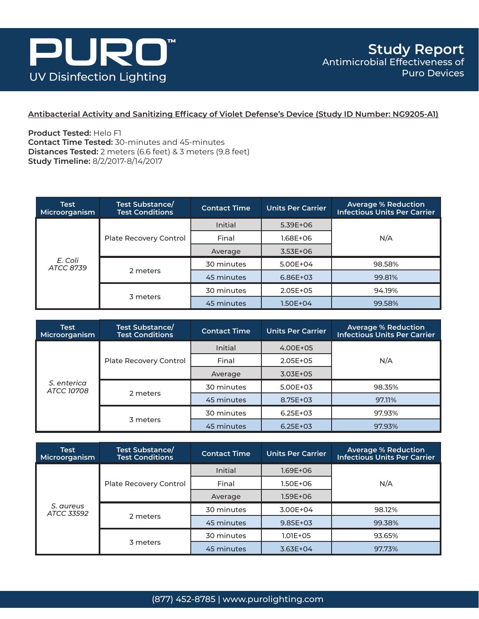

#### **Antibacterial Activity and Sanitizing Efficacy of Violet Defense's Device (Study ID Number: NG9205-A1)**

**Product Tested:** Helo F1 **Contact Time Tested:** 30-minutes and 45-minutes **Distances Tested:** 2 meters (6.6 feet) & 3 meters (9.8 feet) **Study Timeline:** 8/2/2017-8/14/2017

| <b>Test</b><br>Microorganism | Test Substance/<br><b>Test Conditions</b> | <b>Contact Time</b> | Units Per Carrier | <b>Average % Reduction</b><br><b>Infectious Units Per Carrier</b> |
|------------------------------|-------------------------------------------|---------------------|-------------------|-------------------------------------------------------------------|
| E. Coli<br>ATCC 8739         | Plate Recovery Control                    | <b>Initial</b>      | $5.39E+06$        |                                                                   |
|                              |                                           | Final               | 1.68E+06          | N/A                                                               |
|                              |                                           | Average             | $3.53E+06$        |                                                                   |
|                              |                                           | 30 minutes          | 5.00E+04          | 98.58%                                                            |
|                              | 2 meters                                  | 45 minutes          | 6.86E+03          | 99.81%                                                            |
|                              | 3 meters                                  | 30 minutes          | $2.05E + 05$      | 94.19%                                                            |
|                              |                                           | 45 minutes          | 1.50E+04          | 99.58%                                                            |

| <b>Test</b><br>Microorganism     | Test Substance/<br><b>Test Conditions</b> | <b>Contact Time</b> | Units Per Carrier | <b>Average % Reduction</b><br><b>Infectious Units Per Carrier</b> |
|----------------------------------|-------------------------------------------|---------------------|-------------------|-------------------------------------------------------------------|
| S. enterica<br><b>ATCC 10708</b> | Plate Recovery Control                    | <b>Initial</b>      | 4.00E+05          |                                                                   |
|                                  |                                           | Final               | $2.05E + 0.5$     | N/A                                                               |
|                                  |                                           | Average             | $3.03E + 05$      |                                                                   |
|                                  |                                           | 30 minutes          | 5.00E+03          | 98.35%                                                            |
|                                  | 2 meters                                  | 45 minutes          | 8.75E+03          | 97.11%                                                            |
|                                  | 3 meters                                  | 30 minutes          | $6.25E + 03$      | 97.93%                                                            |
|                                  |                                           | 45 minutes          | $6.25E + 03$      | 97.93%                                                            |

| <b>Test</b><br>Microorganism | <b>Test Substance/</b><br><b>Test Conditions</b> | <b>Contact Time</b> | <b>Units Per Carrier</b> | <b>Average % Reduction</b><br><b>Infectious Units Per Carrier</b> |
|------------------------------|--------------------------------------------------|---------------------|--------------------------|-------------------------------------------------------------------|
| S. aureus<br>ATCC 33592      | Plate Recovery Control                           | <b>Initial</b>      | 1.69E+06                 |                                                                   |
|                              |                                                  | Final               | 1.50E+06                 | N/A                                                               |
|                              |                                                  | Average             | 1.59E+06                 |                                                                   |
|                              |                                                  | 30 minutes          | 3.00E+04                 | 98.12%                                                            |
|                              | 2 meters                                         | 45 minutes          | 99.38%<br>$9.85E + 03$   |                                                                   |
|                              | 3 meters                                         | 30 minutes          | $1.01E + 0.5$            | 93.65%                                                            |
|                              |                                                  | 45 minutes          | $3.63E + 04$             | 97.73%                                                            |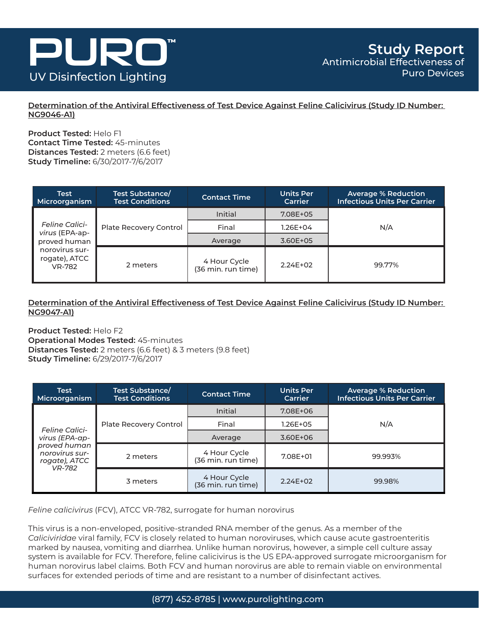

**Determination of the Antiviral Effectiveness of Test Device Against Feline Calicivirus (Study ID Number: NG9046-A1)**

**Product Tested:** Helo F1 **Contact Time Tested:** 45-minutes **Distances Tested:** 2 meters (6.6 feet) **Study Timeline:** 6/30/2017-7/6/2017

| <b>Test</b><br>Microorganism                            | Test Substance/<br><b>Test Conditions</b> | <b>Contact Time</b>                | <b>Units Per</b><br>Carrier | <b>Average % Reduction</b><br><b>Infectious Units Per Carrier</b> |
|---------------------------------------------------------|-------------------------------------------|------------------------------------|-----------------------------|-------------------------------------------------------------------|
|                                                         |                                           | Initial                            | 7.08E+05                    |                                                                   |
| <b>Feline Calici-</b><br>virus (EPA-ap-<br>proved human | Plate Recovery Control                    | Final                              | 1.26E+04                    | N/A                                                               |
|                                                         |                                           | Average                            | 3.60E+05                    |                                                                   |
| norovirus sur-<br>rogate), ATCC<br><b>VR-782</b>        | 2 meters                                  | 4 Hour Cycle<br>(36 min. run time) | $2.24E+02$                  | 99.77%                                                            |

**Determination of the Antiviral Effectiveness of Test Device Against Feline Calicivirus (Study ID Number: NG9047-A1)**

**Product Tested:** Helo F2 **Operational Modes Tested:** 45-minutes **Distances Tested:** 2 meters (6.6 feet) & 3 meters (9.8 feet) **Study Timeline:** 6/29/2017-7/6/2017

| <b>Test</b><br>Microorganism                    | Test Substance/<br><b>Test Conditions</b> | <b>Contact Time</b>                | <b>Units Per</b><br>Carrier | <b>Average % Reduction</b><br><b>Infectious Units Per Carrier</b> |
|-------------------------------------------------|-------------------------------------------|------------------------------------|-----------------------------|-------------------------------------------------------------------|
|                                                 | Plate Recovery Control                    | Initial                            | 7.08E+06                    | N/A                                                               |
| <b>Feline Calici-</b><br>virus (EPA-ap-         |                                           | Final                              | $1.26E + 05$                |                                                                   |
|                                                 |                                           | Average                            | 3.60E+06                    |                                                                   |
| proved human<br>norovirus sur-<br>rogate), ATCC | 2 meters                                  | 4 Hour Cycle<br>(36 min. run time) | 7.08E+01                    | 99.993%                                                           |
| <b>VR-782</b>                                   | 3 meters                                  | 4 Hour Cycle<br>(36 min. run time) | $2.24E + 02$                | 99.98%                                                            |

*Feline calicivirus* (FCV), ATCC VR-782, surrogate for human norovirus

This virus is a non-enveloped, positive-stranded RNA member of the genus. As a member of the *Caliciviridae* viral family, FCV is closely related to human noroviruses, which cause acute gastroenteritis marked by nausea, vomiting and diarrhea. Unlike human norovirus, however, a simple cell culture assay system is available for FCV. Therefore, feline calicivirus is the US EPA-approved surrogate microorganism for human norovirus label claims. Both FCV and human norovirus are able to remain viable on environmental surfaces for extended periods of time and are resistant to a number of disinfectant actives.

(877) 452-8785 | www.purolighting.com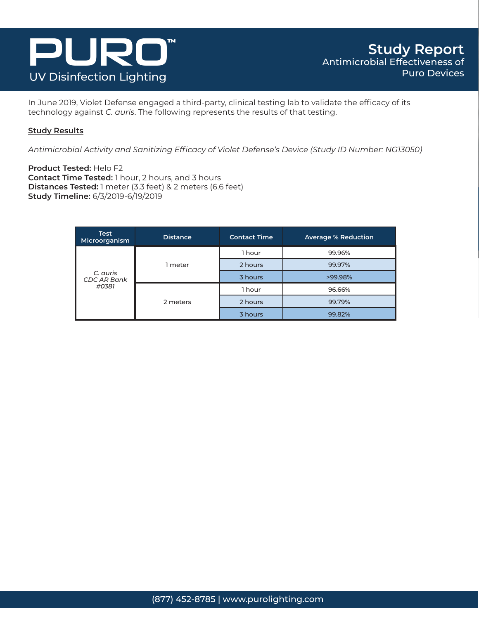

In June 2019, Violet Defense engaged a third-party, clinical testing lab to validate the efficacy of its technology against *C. auris*. The following represents the results of that testing.

#### **Study Results**

*Antimicrobial Activity and Sanitizing Efficacy of Violet Defense's Device (Study ID Number: NG13050)* 

**Product Tested:** Helo F2 **Contact Time Tested:** 1 hour, 2 hours, and 3 hours **Distances Tested:** 1 meter (3.3 feet) & 2 meters (6.6 feet) **Study Timeline:** 6/3/2019-6/19/2019

| <b>Test</b><br>Microorganism            | Distance | <b>Contact Time</b> | <b>Average % Reduction</b> |
|-----------------------------------------|----------|---------------------|----------------------------|
| C. auris<br><b>CDC AR Bank</b><br>#0381 |          | 1 hour              | 99.96%                     |
|                                         | 1 meter  | 2 hours             | 99.97%                     |
|                                         |          | 3 hours             | >99.98%                    |
|                                         | 2 meters | 1 hour              | 96.66%                     |
|                                         |          | 2 hours             | 99.79%                     |
|                                         |          | 3 hours             | 99.82%                     |